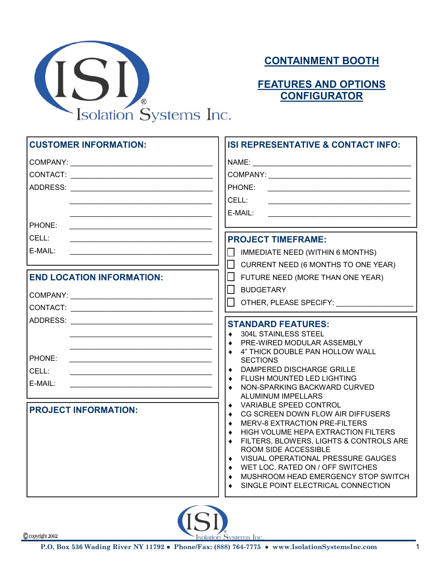

## **CONTAINMENT BOOTH**

## **FEATURES AND OPTIONS CONFIGURATOR**

| <b>CUSTOMER INFORMATION:</b>     | ISI REPRESENTATIVE & CONTACT INFO:                                                                                                                                                                                                                                                                                                                                   |
|----------------------------------|----------------------------------------------------------------------------------------------------------------------------------------------------------------------------------------------------------------------------------------------------------------------------------------------------------------------------------------------------------------------|
|                                  | PHONE:<br>CELL:<br>E-MAIL:                                                                                                                                                                                                                                                                                                                                           |
| PHONE:<br>CELL:<br>E-MAIL:       | <b>PROJECT TIMEFRAME:</b><br>IMMEDIATE NEED (WITHIN 6 MONTHS)<br>$\Box$<br>П                                                                                                                                                                                                                                                                                         |
| <b>END LOCATION INFORMATION:</b> | CURRENT NEED (6 MONTHS TO ONE YEAR)<br>FUTURE NEED (MORE THAN ONE YEAR)<br>$\Box$<br><b>BUDGETARY</b><br>П<br>OTHER, PLEASE SPECIFY:                                                                                                                                                                                                                                 |
| PHONE:<br>CELL:<br>E-MAIL:       | <b>STANDARD FEATURES:</b><br><b>304L STAINLESS STEEL</b><br>$\bullet$<br>PRE-WIRED MODULAR ASSEMBLY<br>$\bullet$<br>4" THICK DOUBLE PAN HOLLOW WALL<br>$\bullet$<br><b>SECTIONS</b><br>DAMPERED DISCHARGE GRILLE<br>FLUSH MOUNTED LED LIGHTING<br>NON-SPARKING BACKWARD CURVED<br>ALUMINUM IMPELLARS                                                                 |
| <b>PROJECT INFORMATION:</b>      | VARIABLE SPEED CONTROL<br>CG SCREEN DOWN FLOW AIR DIFFUSERS<br><b>MERV-8 EXTRACTION PRE-FILTERS</b><br>HIGH VOLUME HEPA EXTRACTION FILTERS<br>FILTERS, BLOWERS, LIGHTS & CONTROLS ARE<br>ROOM SIDE ACCESSIBLE<br>VISUAL OPERATIONAL PRESSURE GAUGES<br>WET LOC. RATED ON / OFF SWITCHES<br>MUSHROOM HEAD EMERGENCY STOP SWITCH<br>SINGLE POINT ELECTRICAL CONNECTION |

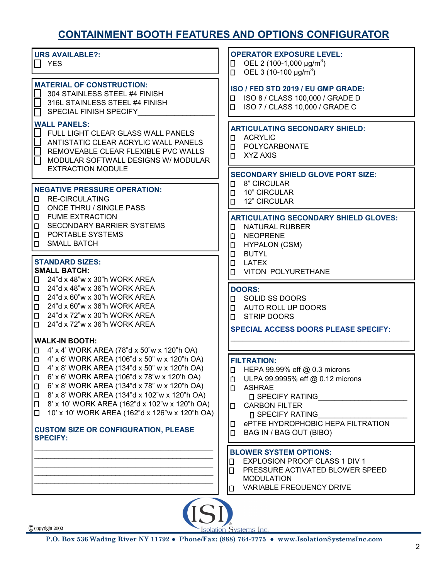## **CONTAINMENT BOOTH FEATURES AND OPTIONS CONFIGURATOR**

| <b>URS AVAILABLE?:</b><br>∏ YES                                                                                                                                                                                                                                                                                                                                                                                                                                 | <b>OPERATOR EXPOSURE LEVEL:</b><br>□ OEL 2 (100-1,000 µg/m <sup>3</sup> )<br>$\Box$ OEL 3 (10-100 µg/m <sup>3</sup> )                                                                                                                                                            |  |
|-----------------------------------------------------------------------------------------------------------------------------------------------------------------------------------------------------------------------------------------------------------------------------------------------------------------------------------------------------------------------------------------------------------------------------------------------------------------|----------------------------------------------------------------------------------------------------------------------------------------------------------------------------------------------------------------------------------------------------------------------------------|--|
| <b>MATERIAL OF CONSTRUCTION:</b><br>304 STAINLESS STEEL #4 FINISH<br>316L STAINLESS STEEL #4 FINISH<br>SPECIAL FINISH SPECIFY                                                                                                                                                                                                                                                                                                                                   | ISO / FED STD 2019 / EU GMP GRADE:<br>ISO 8 / CLASS 100,000 / GRADE D<br>П.<br>ISO 7 / CLASS 10,000 / GRADE C<br>п.                                                                                                                                                              |  |
| <b>WALL PANELS:</b><br>FULL LIGHT CLEAR GLASS WALL PANELS<br>ANTISTATIC CLEAR ACRYLIC WALL PANELS<br>REMOVEABLE CLEAR FLEXIBLE PVC WALLS<br>MODULAR SOFTWALL DESIGNS W/ MODULAR                                                                                                                                                                                                                                                                                 | <b>ARTICULATING SECONDARY SHIELD:</b><br>ACRYLIC<br>0<br>POLYCARBONATE<br>$\Box$<br>XYZ AXIS<br>п.                                                                                                                                                                               |  |
| <b>EXTRACTION MODULE</b><br><b>NEGATIVE PRESSURE OPERATION:</b><br><b>RE-CIRCULATING</b><br>0<br><b>ONCE THRU / SINGLE PASS</b><br>$\Box$                                                                                                                                                                                                                                                                                                                       | <b>SECONDARY SHIELD GLOVE PORT SIZE:</b><br>8" CIRCULAR<br>0<br><b>D</b> 10" CIRCULAR<br>12" CIRCULAR<br>П.                                                                                                                                                                      |  |
| <b>FUME EXTRACTION</b><br>$\Box$<br><b>SECONDARY BARRIER SYSTEMS</b><br>$\Box$<br>PORTABLE SYSTEMS<br>$\Box$<br><b>SMALL BATCH</b><br>$\Box$                                                                                                                                                                                                                                                                                                                    | <b>ARTICULATING SECONDARY SHIELD GLOVES:</b><br><b>NATURAL RUBBER</b><br>0<br><b>NEOPRENE</b><br>О<br><b>HYPALON (CSM)</b><br>П<br>$\Box$<br><b>BUTYL</b>                                                                                                                        |  |
| <b>STANDARD SIZES:</b><br><b>SMALL BATCH:</b><br>24"d x 48"w x 30"h WORK AREA<br>$\Box$                                                                                                                                                                                                                                                                                                                                                                         | <b>D</b> LATEX<br><b>VITON POLYURETHANE</b><br>П.                                                                                                                                                                                                                                |  |
| 24"d x 48"w x 36"h WORK AREA<br>$\Box$<br>24"d x 60"w x 30"h WORK AREA<br>$\Box$<br>24"d x 60"w x 36"h WORK AREA<br>$\Box$<br>24"d x 72"w x 30"h WORK AREA<br>О<br>$\Box$ 24"d x 72"w x 36"h WORK AREA                                                                                                                                                                                                                                                          | <b>DOORS:</b><br><b>I</b> SOLID SS DOORS<br><b>I AUTO ROLL UP DOORS</b><br><b>D</b> STRIP DOORS<br><b>SPECIAL ACCESS DOORS PLEASE SPECIFY:</b>                                                                                                                                   |  |
| <b>WALK-IN BOOTH:</b><br> □ 4' x 4' WORK AREA (78"d x 50"w x 120"h OA)                                                                                                                                                                                                                                                                                                                                                                                          |                                                                                                                                                                                                                                                                                  |  |
| $\Box$ 4' x 6' WORK AREA (106"d x 50" w x 120"h OA)<br> □ 4' x 8' WORK AREA (134"d x 50" w x 120"h OA)<br>$\Box$ 6' x 6' WORK AREA (106"d x 78"w x 120'h OA)<br>6' x 8' WORK AREA (134"d x 78" w x 120"h OA)<br>0<br>8' x 8' WORK AREA (134"d x 102"w x 120"h OA)<br>$\Box$<br>8' x 10' WORK AREA (162"d x 102"w x 120"h OA)<br>П<br>10' x 10' WORK AREA (162"d x 126"w x 120"h OA)<br>$\Box$<br><b>CUSTOM SIZE OR CONFIGURATION, PLEASE</b><br><b>SPECIFY:</b> | <b>FILTRATION:</b><br>HEPA 99.99% eff @ 0.3 microns<br>П<br>ULPA 99.9995% eff @ 0.12 microns<br>O<br>ASHRAE<br>П.<br><b>D SPECIFY RATING</b><br><b>D</b> CARBON FILTER<br><b>N</b> SPECIFY RATING<br><b>D</b> ePTFE HYDROPHOBIC HEPA FILTRATION<br>BAG IN / BAG OUT (BIBO)<br>П. |  |
|                                                                                                                                                                                                                                                                                                                                                                                                                                                                 | <b>BLOWER SYSTEM OPTIONS:</b><br><b>EXPLOSION PROOF CLASS 1 DIV 1</b><br>0<br>PRESSURE ACTIVATED BLOWER SPEED<br>П<br><b>MODULATION</b><br>VARIABLE FREQUENCY DRIVE<br>□                                                                                                         |  |
| $\Omega$ convright 2002                                                                                                                                                                                                                                                                                                                                                                                                                                         |                                                                                                                                                                                                                                                                                  |  |

**Isolation Systems Inc.**